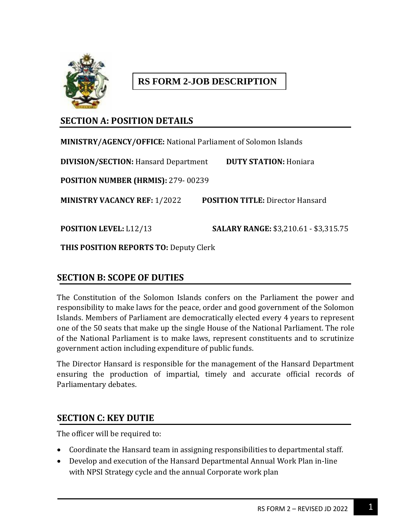

# **RS FORM 2-JOB DESCRIPTION**

# **SECTION A: POSITION DETAILS**

**MINISTRY/AGENCY/OFFICE:** National Parliament of Solomon Islands **DIVISION/SECTION:** Hansard Department **DUTY STATION:** Honiara **POSITION NUMBER (HRMIS):** 279- 00239 **MINISTRY VACANCY REF:** 1/2022 **POSITION TITLE:** Director Hansard **POSITION LEVEL:** L12/13 **SALARY RANGE:** \$3,210.61 - \$3,315.75

**THIS POSITION REPORTS TO:** Deputy Clerk

## **SECTION B: SCOPE OF DUTIES**

The Constitution of the Solomon Islands confers on the Parliament the power and responsibility to make laws for the peace, order and good government of the Solomon Islands. Members of Parliament are democratically elected every 4 years to represent one of the 50 seats that make up the single House of the National Parliament. The role of the National Parliament is to make laws, represent constituents and to scrutinize government action including expenditure of public funds.

The Director Hansard is responsible for the management of the Hansard Department ensuring the production of impartial, timely and accurate official records of Parliamentary debates.

## **SECTION C: KEY DUTIE**

The officer will be required to:

- Coordinate the Hansard team in assigning responsibilities to departmental staff.
- Develop and execution of the Hansard Departmental Annual Work Plan in-line with NPSI Strategy cycle and the annual Corporate work plan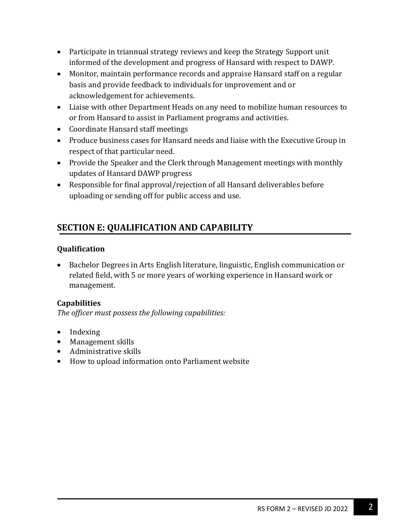- Participate in triannual strategy reviews and keep the Strategy Support unit informed of the development and progress of Hansard with respect to DAWP.
- Monitor, maintain performance records and appraise Hansard staff on a regular basis and provide feedback to individuals for improvement and or acknowledgement for achievements.
- Liaise with other Department Heads on any need to mobilize human resources to or from Hansard to assist in Parliament programs and activities.
- Coordinate Hansard staff meetings
- Produce business cases for Hansard needs and liaise with the Executive Group in respect of that particular need.
- Provide the Speaker and the Clerk through Management meetings with monthly updates of Hansard DAWP progress
- Responsible for final approval/rejection of all Hansard deliverables before uploading or sending off for public access and use.

# **SECTION E: QUALIFICATION AND CAPABILITY**

#### **Qualification**

 Bachelor Degrees in Arts English literature, linguistic, English communication or related field, with 5 or more years of working experience in Hansard work or management.

#### **Capabilities**

*The officer must possess the following capabilities:*

- Indexing
- Management skills
- Administrative skills
- How to upload information onto Parliament website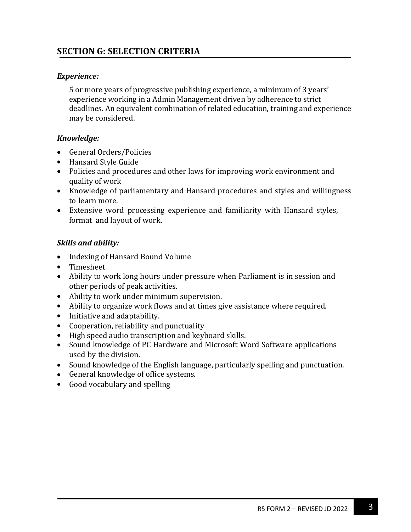# **SECTION G: SELECTION CRITERIA**

#### *Experience:*

5 or more years of progressive publishing experience, a minimum of 3 years' experience working in a Admin Management driven by adherence to strict deadlines. An equivalent combination of related education, training and experience may be considered.

### *Knowledge:*

- General Orders/Policies
- Hansard Style Guide
- Policies and procedures and other laws for improving work environment and quality of work
- Knowledge of parliamentary and Hansard procedures and styles and willingness to learn more.
- Extensive word processing experience and familiarity with Hansard styles, format and layout of work.

#### *Skills and ability:*

- Indexing of Hansard Bound Volume
- Timesheet
- Ability to work long hours under pressure when Parliament is in session and other periods of peak activities.
- Ability to work under minimum supervision.
- Ability to organize work flows and at times give assistance where required.
- Initiative and adaptability.
- Cooperation, reliability and punctuality
- High speed audio transcription and keyboard skills.
- Sound knowledge of PC Hardware and Microsoft Word Software applications used by the division.
- Sound knowledge of the English language, particularly spelling and punctuation.
- General knowledge of office systems.
- Good vocabulary and spelling